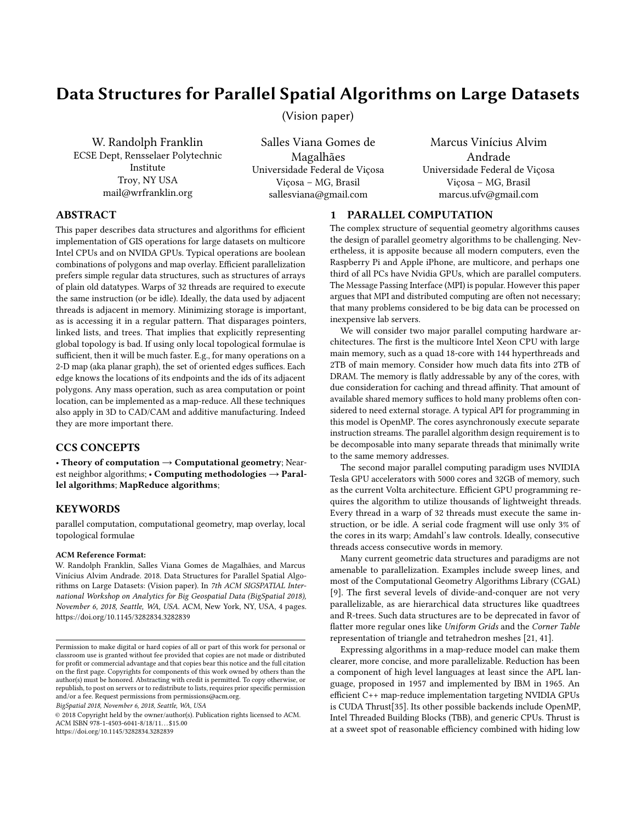# Data Structures for Parallel Spatial Algorithms on Large Datasets

(Vision paper)

W. Randolph Franklin ECSE Dept, Rensselaer Polytechnic Institute Troy, NY USA mail@wrfranklin.org

Salles Viana Gomes de Magalhães Universidade Federal de Viçosa Viçosa – MG, Brasil sallesviana@gmail.com

Marcus Vinícius Alvim Andrade Universidade Federal de Viçosa Viçosa – MG, Brasil marcus.ufv@gmail.com

# ABSTRACT

This paper describes data structures and algorithms for efficient implementation of GIS operations for large datasets on multicore Intel CPUs and on NVIDA GPUs. Typical operations are boolean combinations of polygons and map overlay. Efficient parallelization prefers simple regular data structures, such as structures of arrays of plain old datatypes. Warps of 32 threads are required to execute the same instruction (or be idle). Ideally, the data used by adjacent threads is adjacent in memory. Minimizing storage is important, as is accessing it in a regular pattern. That disparages pointers, linked lists, and trees. That implies that explicitly representing global topology is bad. If using only local topological formulae is sufficient, then it will be much faster. E.g., for many operations on a 2-D map (aka planar graph), the set of oriented edges suffices. Each edge knows the locations of its endpoints and the ids of its adjacent polygons. Any mass operation, such as area computation or point location, can be implemented as a map-reduce. All these techniques also apply in 3D to CAD/CAM and additive manufacturing. Indeed they are more important there.

# CCS CONCEPTS

• Theory of computation  $\rightarrow$  Computational geometry; Nearest neighbor algorithms;  $\cdot$  Computing methodologies  $\rightarrow$  Parallel algorithms; MapReduce algorithms;

### KEYWORDS

parallel computation, computational geometry, map overlay, local topological formulae

#### ACM Reference Format:

W. Randolph Franklin, Salles Viana Gomes de Magalhães, and Marcus Vinícius Alvim Andrade. 2018. Data Structures for Parallel Spatial Algorithms on Large Datasets: (Vision paper). In 7th ACM SIGSPATIAL International Workshop on Analytics for Big Geospatial Data (BigSpatial 2018), November 6, 2018, Seattle, WA, USA. ACM, New York, NY, USA, [4](#page-3-0) pages. <https://doi.org/10.1145/3282834.3282839>

BigSpatial 2018, November 6, 2018, Seattle, WA, USA

© 2018 Copyright held by the owner/author(s). Publication rights licensed to ACM. ACM ISBN 978-1-4503-6041-8/18/11. . . \$15.00 <https://doi.org/10.1145/3282834.3282839>

### 1 PARALLEL COMPUTATION

The complex structure of sequential geometry algorithms causes the design of parallel geometry algorithms to be challenging. Nevertheless, it is apposite because all modern computers, even the Raspberry Pi and Apple iPhone, are multicore, and perhaps one third of all PCs have Nvidia GPUs, which are parallel computers. The Message Passing Interface (MPI) is popular. However this paper argues that MPI and distributed computing are often not necessary; that many problems considered to be big data can be processed on inexpensive lab servers.

We will consider two major parallel computing hardware architectures. The first is the multicore Intel Xeon CPU with large main memory, such as a quad 18-core with 144 hyperthreads and 2TB of main memory. Consider how much data fits into 2TB of DRAM. The memory is flatly addressable by any of the cores, with due consideration for caching and thread affinity. That amount of available shared memory suffices to hold many problems often considered to need external storage. A typical API for programming in this model is OpenMP. The cores asynchronously execute separate instruction streams. The parallel algorithm design requirement is to be decomposable into many separate threads that minimally write to the same memory addresses.

The second major parallel computing paradigm uses NVIDIA Tesla GPU accelerators with 5000 cores and 32GB of memory, such as the current Volta architecture. Efficient GPU programming requires the algorithm to utilize thousands of lightweight threads. Every thread in a warp of 32 threads must execute the same instruction, or be idle. A serial code fragment will use only 3% of the cores in its warp; Amdahl's law controls. Ideally, consecutive threads access consecutive words in memory.

Many current geometric data structures and paradigms are not amenable to parallelization. Examples include sweep lines, and most of the Computational Geometry Algorithms Library (CGAL) [\[9\]](#page-3-1). The first several levels of divide-and-conquer are not very parallelizable, as are hierarchical data structures like quadtrees and R-trees. Such data structures are to be deprecated in favor of flatter more regular ones like Uniform Grids and the Corner Table representation of triangle and tetrahedron meshes [\[21,](#page-3-2) [41\]](#page-3-3).

Expressing algorithms in a map-reduce model can make them clearer, more concise, and more parallelizable. Reduction has been a component of high level languages at least since the APL language, proposed in 1957 and implemented by IBM in 1965. An efficient C++ map-reduce implementation targeting NVIDIA GPUs is CUDA Thrust[\[35\]](#page-3-4). Its other possible backends include OpenMP, Intel Threaded Building Blocks (TBB), and generic CPUs. Thrust is at a sweet spot of reasonable efficiency combined with hiding low

Permission to make digital or hard copies of all or part of this work for personal or classroom use is granted without fee provided that copies are not made or distributed for profit or commercial advantage and that copies bear this notice and the full citation on the first page. Copyrights for components of this work owned by others than the author(s) must be honored. Abstracting with credit is permitted. To copy otherwise, or republish, to post on servers or to redistribute to lists, requires prior specific permission and/or a fee. Request permissions from permissions@acm.org.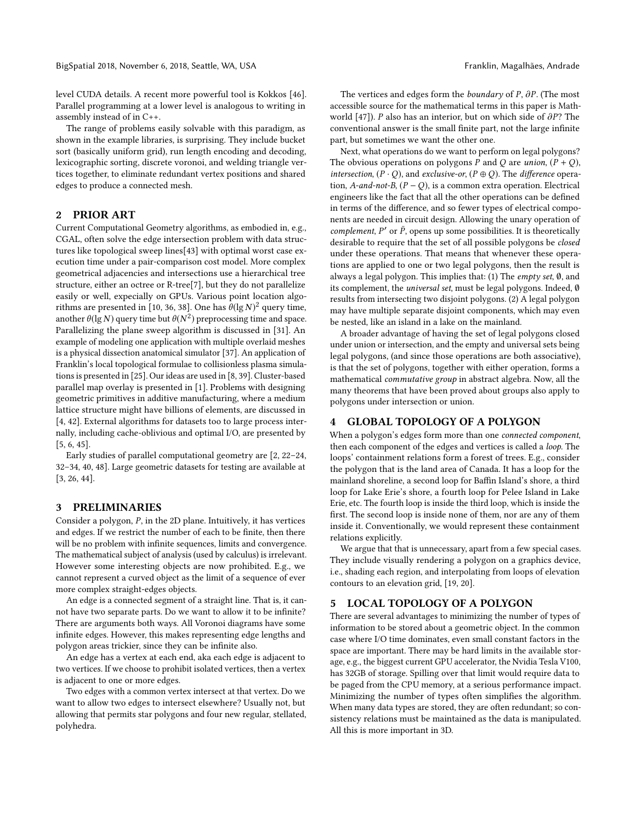level CUDA details. A recent more powerful tool is Kokkos [\[46\]](#page-3-5). Parallel programming at a lower level is analogous to writing in assembly instead of in C++.

The range of problems easily solvable with this paradigm, as shown in the example libraries, is surprising. They include bucket sort (basically uniform grid), run length encoding and decoding, lexicographic sorting, discrete voronoi, and welding triangle vertices together, to eliminate redundant vertex positions and shared edges to produce a connected mesh.

# 2 PRIOR ART

Current Computational Geometry algorithms, as embodied in, e.g., CGAL, often solve the edge intersection problem with data structures like topological sweep lines[\[43\]](#page-3-6) with optimal worst case execution time under a pair-comparison cost model. More complex geometrical adjacencies and intersections use a hierarchical tree structure, either an octree or R-tree[\[7\]](#page-3-7), but they do not parallelize easily or well, expecially on GPUs. Various point location algo-rithms are presented in [\[10,](#page-3-8) [36,](#page-3-9) [38\]](#page-3-10). One has  $\theta(\lg N)^2$  query time, another  $\theta$ (lg N) query time but  $\theta$ ( $N^2$ ) preprocessing time and space. Parallelizing the plane sweep algorithm is discussed in [\[31\]](#page-3-11). An example of modeling one application with multiple overlaid meshes is a physical dissection anatomical simulator [\[37\]](#page-3-12). An application of Franklin's local topological formulae to collisionless plasma simulations is presented in [\[25\]](#page-3-13). Our ideas are used in [\[8,](#page-3-14) [39\]](#page-3-15). Cluster-based parallel map overlay is presented in [\[1\]](#page-3-16). Problems with designing geometric primitives in additive manufacturing, where a medium lattice structure might have billions of elements, are discussed in [\[4,](#page-3-17) [42\]](#page-3-18). External algorithms for datasets too to large process internally, including cache-oblivious and optimal I/O, are presented by [\[5,](#page-3-19) [6,](#page-3-20) [45\]](#page-3-21).

Early studies of parallel computational geometry are [\[2,](#page-3-22) [22–](#page-3-23)[24,](#page-3-24) [32](#page-3-25)[–34,](#page-3-26) [40,](#page-3-27) [48\]](#page-3-28). Large geometric datasets for testing are available at [\[3,](#page-3-29) [26,](#page-3-30) [44\]](#page-3-31).

### 3 PRELIMINARIES

Consider a polygon, P, in the 2D plane. Intuitively, it has vertices and edges. If we restrict the number of each to be finite, then there will be no problem with infinite sequences, limits and convergence. The mathematical subject of analysis (used by calculus) is irrelevant. However some interesting objects are now prohibited. E.g., we cannot represent a curved object as the limit of a sequence of ever more complex straight-edges objects.

An edge is a connected segment of a straight line. That is, it cannot have two separate parts. Do we want to allow it to be infinite? There are arguments both ways. All Voronoi diagrams have some infinite edges. However, this makes representing edge lengths and polygon areas trickier, since they can be infinite also.

An edge has a vertex at each end, aka each edge is adjacent to two vertices. If we choose to prohibit isolated vertices, then a vertex is adjacent to one or more edges.

Two edges with a common vertex intersect at that vertex. Do we want to allow two edges to intersect elsewhere? Usually not, but allowing that permits star polygons and four new regular, stellated, polyhedra.

The vertices and edges form the *boundary* of P, ∂P. (The most accessible source for the mathematical terms in this paper is Mathworld [\[47\]](#page-3-32)). <sup>P</sup> also has an interior, but on which side of ∂P? The conventional answer is the small finite part, not the large infinite part, but sometimes we want the other one.

Next, what operations do we want to perform on legal polygons? The obvious operations on polygons P and Q are union,  $(P + Q)$ , intersection,  $(P \cdot Q)$ , and exclusive-or,  $(P \oplus Q)$ . The difference operation, A-and-not-B,  $(P - Q)$ , is a common extra operation. Electrical engineers like the fact that all the other operations can be defined in terms of the difference, and so fewer types of electrical components are needed in circuit design. Allowing the unary operation of complement,  $P'$  or  $\bar{P}$ , opens up some possibilities. It is theoretically desirable to require that the set of all possible polygons be *closed* under these operations. That means that whenever these operations are applied to one or two legal polygons, then the result is always a legal polygon. This implies that: (1) The empty set,  $\emptyset$ , and its complement, the universal set, must be legal polygons. Indeed, ∅ results from intersecting two disjoint polygons. (2) A legal polygon may have multiple separate disjoint components, which may even be nested, like an island in a lake on the mainland.

A broader advantage of having the set of legal polygons closed under union or intersection, and the empty and universal sets being legal polygons, (and since those operations are both associative), is that the set of polygons, together with either operation, forms a mathematical commutative group in abstract algebra. Now, all the many theorems that have been proved about groups also apply to polygons under intersection or union.

#### GLOBAL TOPOLOGY OF A POLYGON

When a polygon's edges form more than one connected component, then each component of the edges and vertices is called a loop. The loops' containment relations form a forest of trees. E.g., consider the polygon that is the land area of Canada. It has a loop for the mainland shoreline, a second loop for Baffin Island's shore, a third loop for Lake Erie's shore, a fourth loop for Pelee Island in Lake Erie, etc. The fourth loop is inside the third loop, which is inside the first. The second loop is inside none of them, nor are any of them inside it. Conventionally, we would represent these containment relations explicitly.

We argue that that is unnecessary, apart from a few special cases. They include visually rendering a polygon on a graphics device, i.e., shading each region, and interpolating from loops of elevation contours to an elevation grid, [\[19,](#page-3-33) [20\]](#page-3-34).

#### 5 LOCAL TOPOLOGY OF A POLYGON

There are several advantages to minimizing the number of types of information to be stored about a geometric object. In the common case where I/O time dominates, even small constant factors in the space are important. There may be hard limits in the available storage, e.g., the biggest current GPU accelerator, the Nvidia Tesla V100, has 32GB of storage. Spilling over that limit would require data to be paged from the CPU memory, at a serious performance impact. Minimizing the number of types often simplifies the algorithm. When many data types are stored, they are often redundant; so consistency relations must be maintained as the data is manipulated. All this is more important in 3D.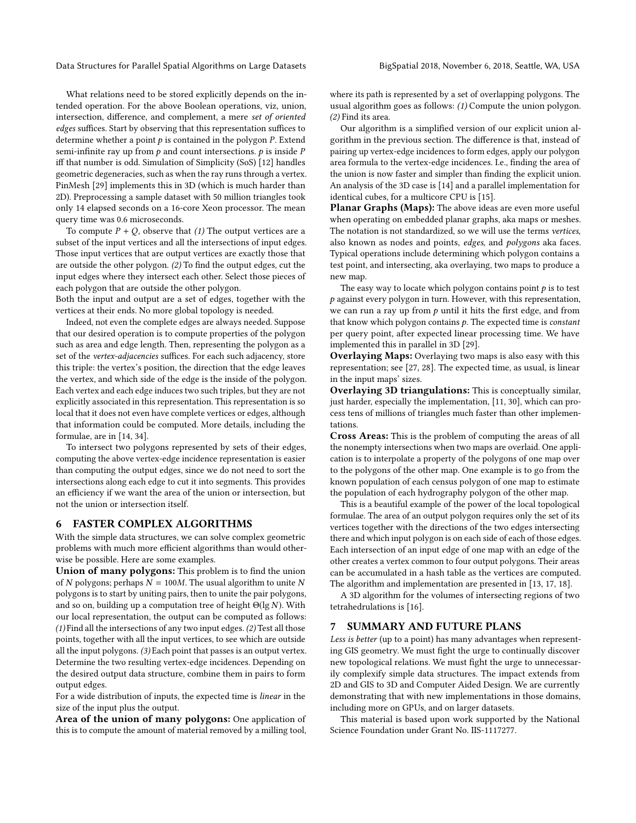Data Structures for Parallel Spatial Algorithms on Large Datasets BigSpatial 2018, November 6, 2018, Seattle, WA, USA

What relations need to be stored explicitly depends on the intended operation. For the above Boolean operations, viz, union, intersection, difference, and complement, a mere set of oriented edges suffices. Start by observing that this representation suffices to determine whether a point  $p$  is contained in the polygon  $P$ . Extend semi-infinite ray up from  $p$  and count intersections.  $p$  is inside  $P$ iff that number is odd. Simulation of Simplicity (SoS) [\[12\]](#page-3-35) handles geometric degeneracies, such as when the ray runs through a vertex. PinMesh [\[29\]](#page-3-36) implements this in 3D (which is much harder than 2D). Preprocessing a sample dataset with 50 million triangles took only 14 elapsed seconds on a 16-core Xeon processor. The mean query time was 0.6 microseconds.

To compute  $P + Q$ , observe that (1) The output vertices are a subset of the input vertices and all the intersections of input edges. Those input vertices that are output vertices are exactly those that are outside the other polygon. (2) To find the output edges, cut the input edges where they intersect each other. Select those pieces of each polygon that are outside the other polygon.

Both the input and output are a set of edges, together with the vertices at their ends. No more global topology is needed.

Indeed, not even the complete edges are always needed. Suppose that our desired operation is to compute properties of the polygon such as area and edge length. Then, representing the polygon as a set of the vertex-adjacencies suffices. For each such adjacency, store this triple: the vertex's position, the direction that the edge leaves the vertex, and which side of the edge is the inside of the polygon. Each vertex and each edge induces two such triples, but they are not explicitly associated in this representation. This representation is so local that it does not even have complete vertices or edges, although that information could be computed. More details, including the formulae, are in [\[14,](#page-3-37) [34\]](#page-3-26).

To intersect two polygons represented by sets of their edges, computing the above vertex-edge incidence representation is easier than computing the output edges, since we do not need to sort the intersections along each edge to cut it into segments. This provides an efficiency if we want the area of the union or intersection, but not the union or intersection itself.

# 6 FASTER COMPLEX ALGORITHMS

With the simple data structures, we can solve complex geometric problems with much more efficient algorithms than would otherwise be possible. Here are some examples.

Union of many polygons: This problem is to find the union of N polygons; perhaps  $N = 100M$ . The usual algorithm to unite N polygons is to start by uniting pairs, then to unite the pair polygons, and so on, building up a computation tree of height  $\Theta(\lg N)$ . With our local representation, the output can be computed as follows: (1) Find all the intersections of any two input edges. (2) Test all those points, together with all the input vertices, to see which are outside all the input polygons. (3) Each point that passes is an output vertex. Determine the two resulting vertex-edge incidences. Depending on the desired output data structure, combine them in pairs to form output edges.

For a wide distribution of inputs, the expected time is linear in the size of the input plus the output.

Area of the union of many polygons: One application of this is to compute the amount of material removed by a milling tool, where its path is represented by a set of overlapping polygons. The usual algorithm goes as follows: (1) Compute the union polygon. (2) Find its area.

Our algorithm is a simplified version of our explicit union algorithm in the previous section. The difference is that, instead of pairing up vertex-edge incidences to form edges, apply our polygon area formula to the vertex-edge incidences. I.e., finding the area of the union is now faster and simpler than finding the explicit union. An analysis of the 3D case is [\[14\]](#page-3-37) and a parallel implementation for identical cubes, for a multicore CPU is [\[15\]](#page-3-38).

Planar Graphs (Maps): The above ideas are even more useful when operating on embedded planar graphs, aka maps or meshes. The notation is not standardized, so we will use the terms vertices, also known as nodes and points, edges, and polygons aka faces. Typical operations include determining which polygon contains a test point, and intersecting, aka overlaying, two maps to produce a new map.

The easy way to locate which polygon contains point  $p$  is to test  $p$  against every polygon in turn. However, with this representation, we can run a ray up from  $p$  until it hits the first edge, and from that know which polygon contains  $p$ . The expected time is *constant* per query point, after expected linear processing time. We have implemented this in parallel in 3D [\[29\]](#page-3-36).

Overlaying Maps: Overlaying two maps is also easy with this representation; see [\[27,](#page-3-39) [28\]](#page-3-40). The expected time, as usual, is linear in the input maps' sizes.

Overlaying 3D triangulations: This is conceptually similar, just harder, especially the implementation, [\[11,](#page-3-41) [30\]](#page-3-42), which can process tens of millions of triangles much faster than other implementations.

Cross Areas: This is the problem of computing the areas of all the nonempty intersections when two maps are overlaid. One application is to interpolate a property of the polygons of one map over to the polygons of the other map. One example is to go from the known population of each census polygon of one map to estimate the population of each hydrography polygon of the other map.

This is a beautiful example of the power of the local topological formulae. The area of an output polygon requires only the set of its vertices together with the directions of the two edges intersecting there and which input polygon is on each side of each of those edges. Each intersection of an input edge of one map with an edge of the other creates a vertex common to four output polygons. Their areas can be accumulated in a hash table as the vertices are computed. The algorithm and implementation are presented in [\[13,](#page-3-43) [17,](#page-3-44) [18\]](#page-3-45).

A 3D algorithm for the volumes of intersecting regions of two tetrahedrulations is [\[16\]](#page-3-46).

# 7 SUMMARY AND FUTURE PLANS

Less is better (up to a point) has many advantages when representing GIS geometry. We must fight the urge to continually discover new topological relations. We must fight the urge to unnecessarily complexify simple data structures. The impact extends from 2D and GIS to 3D and Computer Aided Design. We are currently demonstrating that with new implementations in those domains, including more on GPUs, and on larger datasets.

This material is based upon work supported by the National Science Foundation under Grant No. IIS-1117277.